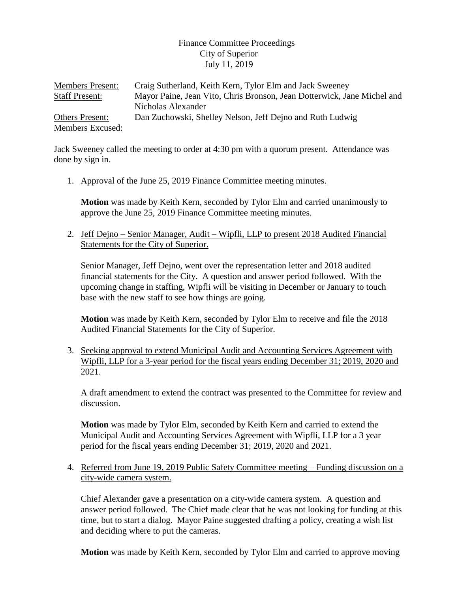## Finance Committee Proceedings City of Superior July 11, 2019

| <b>Members Present:</b> | Craig Sutherland, Keith Kern, Tylor Elm and Jack Sweeney                |
|-------------------------|-------------------------------------------------------------------------|
| <b>Staff Present:</b>   | Mayor Paine, Jean Vito, Chris Bronson, Jean Dotterwick, Jane Michel and |
|                         | Nicholas Alexander                                                      |
| <b>Others Present:</b>  | Dan Zuchowski, Shelley Nelson, Jeff Dejno and Ruth Ludwig               |
| Members Excused:        |                                                                         |

Jack Sweeney called the meeting to order at 4:30 pm with a quorum present. Attendance was done by sign in.

1. Approval of the June 25, 2019 Finance Committee meeting minutes.

**Motion** was made by Keith Kern, seconded by Tylor Elm and carried unanimously to approve the June 25, 2019 Finance Committee meeting minutes.

2. Jeff Dejno – Senior Manager, Audit – Wipfli, LLP to present 2018 Audited Financial Statements for the City of Superior.

Senior Manager, Jeff Dejno, went over the representation letter and 2018 audited financial statements for the City. A question and answer period followed. With the upcoming change in staffing, Wipfli will be visiting in December or January to touch base with the new staff to see how things are going.

**Motion** was made by Keith Kern, seconded by Tylor Elm to receive and file the 2018 Audited Financial Statements for the City of Superior.

3. Seeking approval to extend Municipal Audit and Accounting Services Agreement with Wipfli, LLP for a 3-year period for the fiscal years ending December 31; 2019, 2020 and 2021.

A draft amendment to extend the contract was presented to the Committee for review and discussion.

**Motion** was made by Tylor Elm, seconded by Keith Kern and carried to extend the Municipal Audit and Accounting Services Agreement with Wipfli, LLP for a 3 year period for the fiscal years ending December 31; 2019, 2020 and 2021.

4. Referred from June 19, 2019 Public Safety Committee meeting – Funding discussion on a city-wide camera system.

Chief Alexander gave a presentation on a city-wide camera system. A question and answer period followed. The Chief made clear that he was not looking for funding at this time, but to start a dialog. Mayor Paine suggested drafting a policy, creating a wish list and deciding where to put the cameras.

**Motion** was made by Keith Kern, seconded by Tylor Elm and carried to approve moving